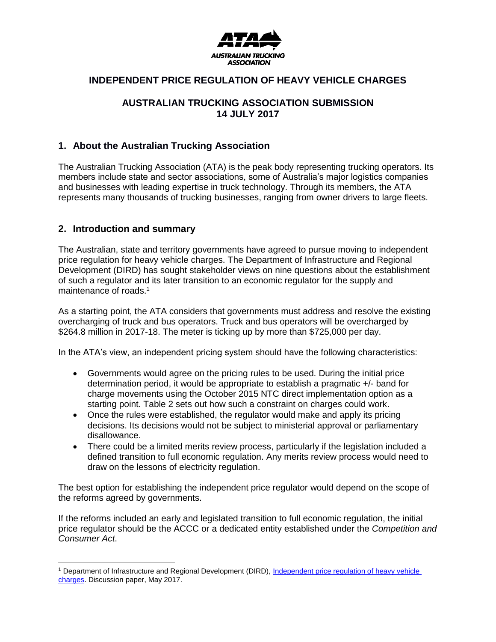

## **INDEPENDENT PRICE REGULATION OF HEAVY VEHICLE CHARGES**

## **AUSTRALIAN TRUCKING ASSOCIATION SUBMISSION 14 JULY 2017**

## **1. About the Australian Trucking Association**

The Australian Trucking Association (ATA) is the peak body representing trucking operators. Its members include state and sector associations, some of Australia's major logistics companies and businesses with leading expertise in truck technology. Through its members, the ATA represents many thousands of trucking businesses, ranging from owner drivers to large fleets.

## **2. Introduction and summary**

 $\overline{a}$ 

The Australian, state and territory governments have agreed to pursue moving to independent price regulation for heavy vehicle charges. The Department of Infrastructure and Regional Development (DIRD) has sought stakeholder views on nine questions about the establishment of such a regulator and its later transition to an economic regulator for the supply and maintenance of roads.<sup>1</sup>

As a starting point, the ATA considers that governments must address and resolve the existing overcharging of truck and bus operators. Truck and bus operators will be overcharged by \$264.8 million in 2017-18. The meter is ticking up by more than \$725,000 per day.

In the ATA's view, an independent pricing system should have the following characteristics:

- Governments would agree on the pricing rules to be used. During the initial price determination period, it would be appropriate to establish a pragmatic +/- band for charge movements using the October 2015 NTC direct implementation option as a starting point. Table 2 sets out how such a constraint on charges could work.
- Once the rules were established, the regulator would make and apply its pricing decisions. Its decisions would not be subject to ministerial approval or parliamentary disallowance.
- There could be a limited merits review process, particularly if the legislation included a defined transition to full economic regulation. Any merits review process would need to draw on the lessons of electricity regulation.

The best option for establishing the independent price regulator would depend on the scope of the reforms agreed by governments.

If the reforms included an early and legislated transition to full economic regulation, the initial price regulator should be the ACCC or a dedicated entity established under the *Competition and Consumer Act*.

<sup>&</sup>lt;sup>1</sup> Department of Infrastructure and Regional Development (DIRD), Independent price regulation of heavy vehicle [charges.](https://infrastructure.gov.au/roads/heavy/index.aspx) Discussion paper, May 2017.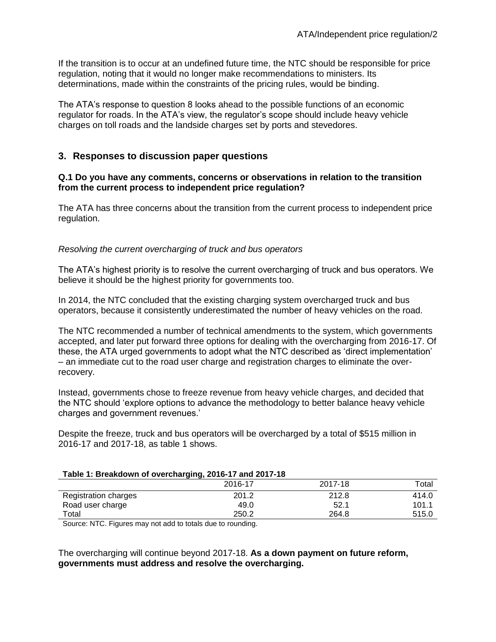If the transition is to occur at an undefined future time, the NTC should be responsible for price regulation, noting that it would no longer make recommendations to ministers. Its determinations, made within the constraints of the pricing rules, would be binding.

The ATA's response to question 8 looks ahead to the possible functions of an economic regulator for roads. In the ATA's view, the regulator's scope should include heavy vehicle charges on toll roads and the landside charges set by ports and stevedores.

## **3. Responses to discussion paper questions**

#### **Q.1 Do you have any comments, concerns or observations in relation to the transition from the current process to independent price regulation?**

The ATA has three concerns about the transition from the current process to independent price regulation.

### *Resolving the current overcharging of truck and bus operators*

The ATA's highest priority is to resolve the current overcharging of truck and bus operators. We believe it should be the highest priority for governments too.

In 2014, the NTC concluded that the existing charging system overcharged truck and bus operators, because it consistently underestimated the number of heavy vehicles on the road.

The NTC recommended a number of technical amendments to the system, which governments accepted, and later put forward three options for dealing with the overcharging from 2016-17. Of these, the ATA urged governments to adopt what the NTC described as 'direct implementation' – an immediate cut to the road user charge and registration charges to eliminate the overrecovery.

Instead, governments chose to freeze revenue from heavy vehicle charges, and decided that the NTC should 'explore options to advance the methodology to better balance heavy vehicle charges and government revenues.'

Despite the freeze, truck and bus operators will be overcharged by a total of \$515 million in 2016-17 and 2017-18, as table 1 shows.

#### **Table 1: Breakdown of overcharging, 2016-17 and 2017-18**

|                      | - -<br>2016-17 | 2017-18 | $\tau$ otal |
|----------------------|----------------|---------|-------------|
| Registration charges | 201.2          | 212.8   | 414.0       |
| Road user charge     | 49.0           | 52.1    | 101.1       |
| Total                | 250.2          | 264.8   | 515.0       |

Source: NTC. Figures may not add to totals due to rounding.

The overcharging will continue beyond 2017-18. **As a down payment on future reform, governments must address and resolve the overcharging.**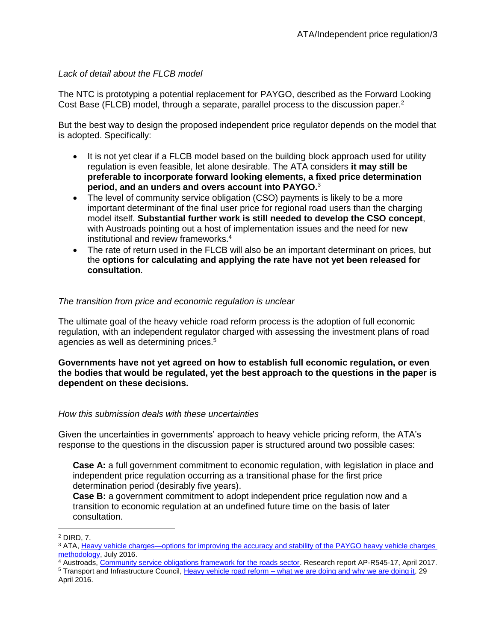## *Lack of detail about the FLCB model*

The NTC is prototyping a potential replacement for PAYGO, described as the Forward Looking Cost Base (FLCB) model, through a separate, parallel process to the discussion paper.<sup>2</sup>

But the best way to design the proposed independent price regulator depends on the model that is adopted. Specifically:

- It is not yet clear if a FLCB model based on the building block approach used for utility regulation is even feasible, let alone desirable. The ATA considers **it may still be preferable to incorporate forward looking elements, a fixed price determination period, and an unders and overs account into PAYGO.**<sup>3</sup>
- The level of community service obligation (CSO) payments is likely to be a more important determinant of the final user price for regional road users than the charging model itself. **Substantial further work is still needed to develop the CSO concept**, with Austroads pointing out a host of implementation issues and the need for new institutional and review frameworks.<sup>4</sup>
- The rate of return used in the FLCB will also be an important determinant on prices, but the **options for calculating and applying the rate have not yet been released for consultation**.

## *The transition from price and economic regulation is unclear*

The ultimate goal of the heavy vehicle road reform process is the adoption of full economic regulation, with an independent regulator charged with assessing the investment plans of road agencies as well as determining prices.<sup>5</sup>

**Governments have not yet agreed on how to establish full economic regulation, or even the bodies that would be regulated, yet the best approach to the questions in the paper is dependent on these decisions.**

## *How this submission deals with these uncertainties*

Given the uncertainties in governments' approach to heavy vehicle pricing reform, the ATA's response to the questions in the discussion paper is structured around two possible cases:

**Case A:** a full government commitment to economic regulation, with legislation in place and independent price regulation occurring as a transitional phase for the first price determination period (desirably five years).

**Case B:** a government commitment to adopt independent price regulation now and a transition to economic regulation at an undefined future time on the basis of later consultation.

 $\overline{a}$ 

<sup>4</sup> Austroads, [Community service obligations framework for the roads sector.](https://www.onlinepublications.austroads.com.au/items/AP-R545-17) Research report AP-R545-17, April 2017.

<sup>2</sup> DIRD, 7.

<sup>3</sup> ATA, [Heavy vehicle charges—options for improving the accuracy and stability of the PAYGO heavy vehicle charges](http://www.truck.net.au/advocacy/submissions/heavy-vehicle-charges%E2%80%94options-improving-accuracy-and-stability-paygo-heavy)  [methodology,](http://www.truck.net.au/advocacy/submissions/heavy-vehicle-charges%E2%80%94options-improving-accuracy-and-stability-paygo-heavy) July 2016.

<sup>&</sup>lt;sup>5</sup> Transport and Infrastructure Council, Heavy vehicle road reform – [what we are doing and why we are doing it,](http://transportinfrastructurecouncil.gov.au/publications/files/HVRR_What_we_are_doing_and_why_we_are_doing_it_16082016.pdf) 29 April 2016.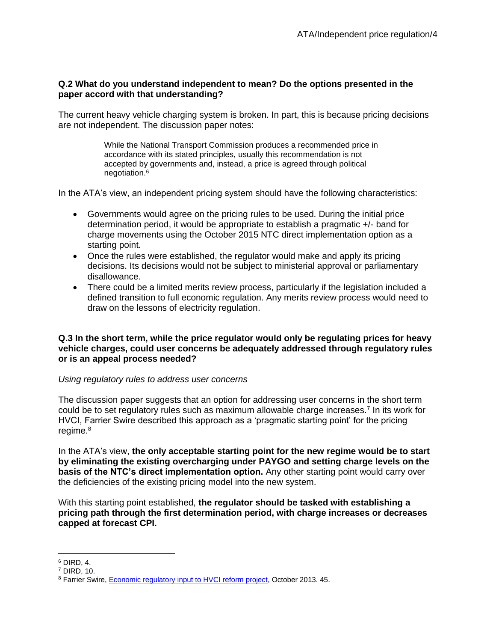## **Q.2 What do you understand independent to mean? Do the options presented in the paper accord with that understanding?**

The current heavy vehicle charging system is broken. In part, this is because pricing decisions are not independent. The discussion paper notes:

> While the National Transport Commission produces a recommended price in accordance with its stated principles, usually this recommendation is not accepted by governments and, instead, a price is agreed through political negotiation.<sup>6</sup>

In the ATA's view, an independent pricing system should have the following characteristics:

- Governments would agree on the pricing rules to be used. During the initial price determination period, it would be appropriate to establish a pragmatic +/- band for charge movements using the October 2015 NTC direct implementation option as a starting point.
- Once the rules were established, the regulator would make and apply its pricing decisions. Its decisions would not be subject to ministerial approval or parliamentary disallowance.
- There could be a limited merits review process, particularly if the legislation included a defined transition to full economic regulation. Any merits review process would need to draw on the lessons of electricity regulation.

#### **Q.3 In the short term, while the price regulator would only be regulating prices for heavy vehicle charges, could user concerns be adequately addressed through regulatory rules or is an appeal process needed?**

## *Using regulatory rules to address user concerns*

The discussion paper suggests that an option for addressing user concerns in the short term could be to set regulatory rules such as maximum allowable charge increases.<sup>7</sup> In its work for HVCI, Farrier Swire described this approach as a 'pragmatic starting point' for the pricing regime.<sup>8</sup>

In the ATA's view, **the only acceptable starting point for the new regime would be to start by eliminating the existing overcharging under PAYGO and setting charge levels on the basis of the NTC's direct implementation option.** Any other starting point would carry over the deficiencies of the existing pricing model into the new system.

With this starting point established, **the regulator should be tasked with establishing a pricing path through the first determination period, with charge increases or decreases capped at forecast CPI.**

 $\overline{a}$ <sup>6</sup> DIRD, 4.

<sup>7</sup> DIRD, 10.

<sup>&</sup>lt;sup>8</sup> Farrier Swire, **Economic regulatory input to HVCI reform project**, October 2013. 45.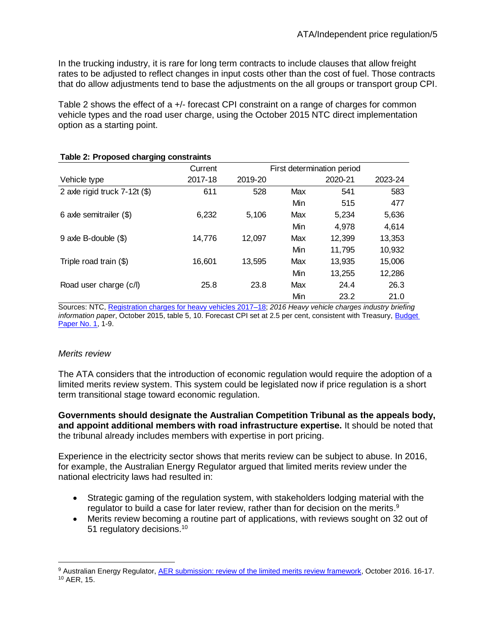In the trucking industry, it is rare for long term contracts to include clauses that allow freight rates to be adjusted to reflect changes in input costs other than the cost of fuel. Those contracts that do allow adjustments tend to base the adjustments on the all groups or transport group CPI.

Table 2 shows the effect of a +/- forecast CPI constraint on a range of charges for common vehicle types and the road user charge, using the October 2015 NTC direct implementation option as a starting point.

| ັ                               |         |                            |     |         |         |
|---------------------------------|---------|----------------------------|-----|---------|---------|
|                                 | Current | First determination period |     |         |         |
| Vehicle type                    | 2017-18 | 2019-20                    |     | 2020-21 | 2023-24 |
| 2 axle rigid truck $7-12t$ (\$) | 611     | 528                        | Max | 541     | 583     |
|                                 |         |                            | Min | 515     | 477     |
| 6 axle semitrailer (\$)         | 6,232   | 5,106                      | Max | 5,234   | 5,636   |
|                                 |         |                            | Min | 4,978   | 4,614   |
| $9$ axle B-double $(\$)$        | 14,776  | 12,097                     | Max | 12,399  | 13,353  |
|                                 |         |                            | Min | 11,795  | 10,932  |
| Triple road train (\$)          | 16,601  | 13.595                     | Max | 13,935  | 15,006  |
|                                 |         |                            | Min | 13,255  | 12,286  |
| Road user charge (c/l)          | 25.8    | 23.8                       | Max | 24.4    | 26.3    |
|                                 |         |                            | Min | 23.2    | 21.0    |

### **Table 2: Proposed charging constraints**

Sources: NTC[, Registration charges for heavy vehicles 2017–18;](http://www.ntc.gov.au/heavy-vehicles/heavy-vehicle-charges/registration-charges-for-heavy-vehicles-2017-18/) *2016 Heavy vehicle charges industry briefing information paper*, October 2015, table 5, 10. Forecast CPI set at 2.5 per cent, consistent with Treasury, [Budget](http://www.budget.gov.au/2017-18/content/bp1/download/bp1_bs1.pdf)  [Paper No. 1,](http://www.budget.gov.au/2017-18/content/bp1/download/bp1_bs1.pdf) 1-9.

## *Merits review*

 $\overline{a}$ 

The ATA considers that the introduction of economic regulation would require the adoption of a limited merits review system. This system could be legislated now if price regulation is a short term transitional stage toward economic regulation.

### **Governments should designate the Australian Competition Tribunal as the appeals body, and appoint additional members with road infrastructure expertise.** It should be noted that the tribunal already includes members with expertise in port pricing.

Experience in the electricity sector shows that merits review can be subject to abuse. In 2016, for example, the Australian Energy Regulator argued that limited merits review under the national electricity laws had resulted in:

- Strategic gaming of the regulation system, with stakeholders lodging material with the regulator to build a case for later review, rather than for decision on the merits.<sup>9</sup>
- Merits review becoming a routine part of applications, with reviews sought on 32 out of 51 regulatory decisions.<sup>10</sup>

<sup>9</sup> Australian Energy Regulator, [AER submission: review of the limited merits review framework,](http://www.coagenergycouncil.gov.au/sites/prod.energycouncil/files/publications/documents/AER%20response%20to%20LMR%20Review.pdf) October 2016. 16-17. <sup>10</sup> AER, 15.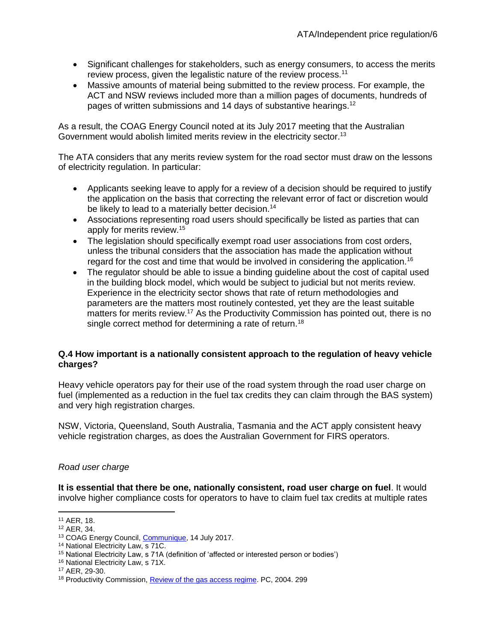- Significant challenges for stakeholders, such as energy consumers, to access the merits review process, given the legalistic nature of the review process.<sup>11</sup>
- Massive amounts of material being submitted to the review process. For example, the ACT and NSW reviews included more than a million pages of documents, hundreds of pages of written submissions and 14 days of substantive hearings.<sup>12</sup>

As a result, the COAG Energy Council noted at its July 2017 meeting that the Australian Government would abolish limited merits review in the electricity sector.<sup>13</sup>

The ATA considers that any merits review system for the road sector must draw on the lessons of electricity regulation. In particular:

- Applicants seeking leave to apply for a review of a decision should be required to justify the application on the basis that correcting the relevant error of fact or discretion would be likely to lead to a materially better decision.<sup>14</sup>
- Associations representing road users should specifically be listed as parties that can apply for merits review.<sup>15</sup>
- The legislation should specifically exempt road user associations from cost orders, unless the tribunal considers that the association has made the application without regard for the cost and time that would be involved in considering the application.<sup>16</sup>
- The regulator should be able to issue a binding guideline about the cost of capital used in the building block model, which would be subject to judicial but not merits review. Experience in the electricity sector shows that rate of return methodologies and parameters are the matters most routinely contested, yet they are the least suitable matters for merits review.<sup>17</sup> As the Productivity Commission has pointed out, there is no single correct method for determining a rate of return.<sup>18</sup>

## **Q.4 How important is a nationally consistent approach to the regulation of heavy vehicle charges?**

Heavy vehicle operators pay for their use of the road system through the road user charge on fuel (implemented as a reduction in the fuel tax credits they can claim through the BAS system) and very high registration charges.

NSW, Victoria, Queensland, South Australia, Tasmania and the ACT apply consistent heavy vehicle registration charges, as does the Australian Government for FIRS operators.

## *Road user charge*

**It is essential that there be one, nationally consistent, road user charge on fuel**. It would involve higher compliance costs for operators to have to claim fuel tax credits at multiple rates

 $\overline{a}$ <sup>11</sup> AER, 18.

<sup>12</sup> AER, 34.

<sup>&</sup>lt;sup>13</sup> COAG Energy Council, [Communique,](http://www.coagenergycouncil.gov.au/publications/12th-energy-council-meeting-communique-includes-11th-meeting-communique) 14 July 2017.

<sup>14</sup> National Electricity Law, s 71C.

<sup>15</sup> National Electricity Law, s 71A (definition of 'affected or interested person or bodies')

<sup>16</sup> National Electricity Law, s 71X.

<sup>17</sup> AER, 29-30.

<sup>&</sup>lt;sup>18</sup> Productivity Commission, **Review of the gas access regime**. PC, 2004. 299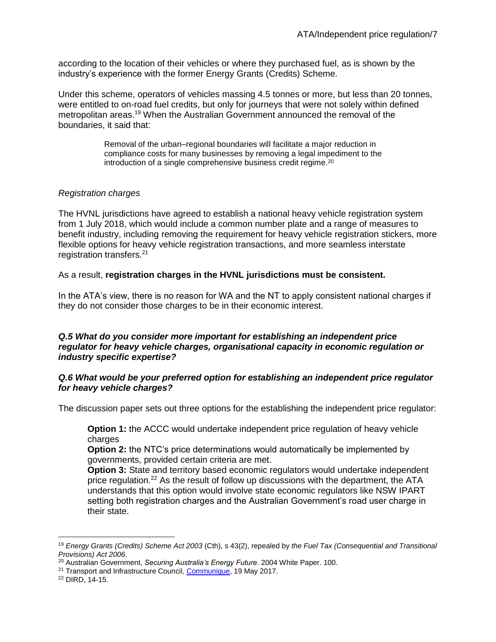according to the location of their vehicles or where they purchased fuel, as is shown by the industry's experience with the former Energy Grants (Credits) Scheme.

Under this scheme, operators of vehicles massing 4.5 tonnes or more, but less than 20 tonnes, were entitled to on-road fuel credits, but only for journeys that were not solely within defined metropolitan areas.<sup>19</sup> When the Australian Government announced the removal of the boundaries, it said that:

> Removal of the urban–regional boundaries will facilitate a major reduction in compliance costs for many businesses by removing a legal impediment to the introduction of a single comprehensive business credit regime.<sup>20</sup>

## *Registration charges*

The HVNL jurisdictions have agreed to establish a national heavy vehicle registration system from 1 July 2018, which would include a common number plate and a range of measures to benefit industry, including removing the requirement for heavy vehicle registration stickers, more flexible options for heavy vehicle registration transactions, and more seamless interstate registration transfers. 21

## As a result, **registration charges in the HVNL jurisdictions must be consistent.**

In the ATA's view, there is no reason for WA and the NT to apply consistent national charges if they do not consider those charges to be in their economic interest.

### *Q.5 What do you consider more important for establishing an independent price regulator for heavy vehicle charges, organisational capacity in economic regulation or industry specific expertise?*

## *Q.6 What would be your preferred option for establishing an independent price regulator for heavy vehicle charges?*

The discussion paper sets out three options for the establishing the independent price regulator:

**Option 1:** the ACCC would undertake independent price regulation of heavy vehicle charges

**Option 2:** the NTC's price determinations would automatically be implemented by governments, provided certain criteria are met.

**Option 3:** State and territory based economic regulators would undertake independent price regulation.<sup>22</sup> As the result of follow up discussions with the department, the  $ATA$ understands that this option would involve state economic regulators like NSW IPART setting both registration charges and the Australian Government's road user charge in their state.

 $\overline{a}$ <sup>19</sup> *Energy Grants (Credits) Scheme Act 2003* (Cth), s 43(2), repealed by *the Fuel Tax (Consequential and Transitional Provisions) Act 2006*.

<sup>20</sup> Australian Government, *Securing Australia's Energy Future*. 2004 White Paper. 100.

<sup>&</sup>lt;sup>21</sup> Transport and Infrastructure Council, [Communique,](http://transportinfrastructurecouncil.gov.au/communique/index.aspx) 19 May 2017.

<sup>22</sup> DIRD, 14-15.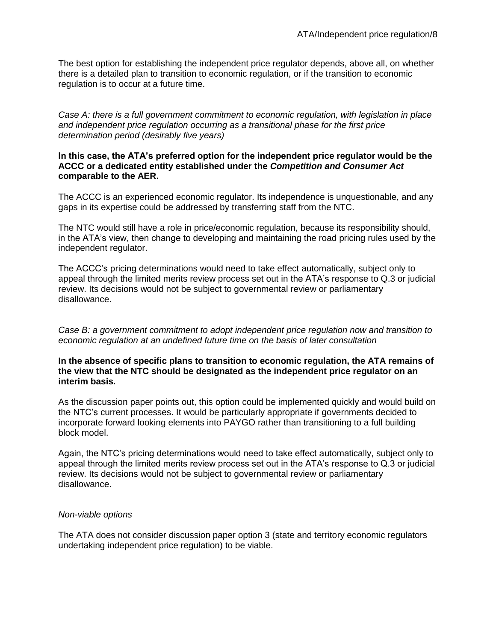The best option for establishing the independent price regulator depends, above all, on whether there is a detailed plan to transition to economic regulation, or if the transition to economic regulation is to occur at a future time.

*Case A: there is a full government commitment to economic regulation, with legislation in place and independent price regulation occurring as a transitional phase for the first price determination period (desirably five years)*

### **In this case, the ATA's preferred option for the independent price regulator would be the ACCC or a dedicated entity established under the** *Competition and Consumer Act* **comparable to the AER.**

The ACCC is an experienced economic regulator. Its independence is unquestionable, and any gaps in its expertise could be addressed by transferring staff from the NTC.

The NTC would still have a role in price/economic regulation, because its responsibility should, in the ATA's view, then change to developing and maintaining the road pricing rules used by the independent regulator.

The ACCC's pricing determinations would need to take effect automatically, subject only to appeal through the limited merits review process set out in the ATA's response to Q.3 or judicial review. Its decisions would not be subject to governmental review or parliamentary disallowance.

*Case B: a government commitment to adopt independent price regulation now and transition to economic regulation at an undefined future time on the basis of later consultation*

#### **In the absence of specific plans to transition to economic regulation, the ATA remains of the view that the NTC should be designated as the independent price regulator on an interim basis.**

As the discussion paper points out, this option could be implemented quickly and would build on the NTC's current processes. It would be particularly appropriate if governments decided to incorporate forward looking elements into PAYGO rather than transitioning to a full building block model.

Again, the NTC's pricing determinations would need to take effect automatically, subject only to appeal through the limited merits review process set out in the ATA's response to Q.3 or judicial review. Its decisions would not be subject to governmental review or parliamentary disallowance.

## *Non-viable options*

The ATA does not consider discussion paper option 3 (state and territory economic regulators undertaking independent price regulation) to be viable.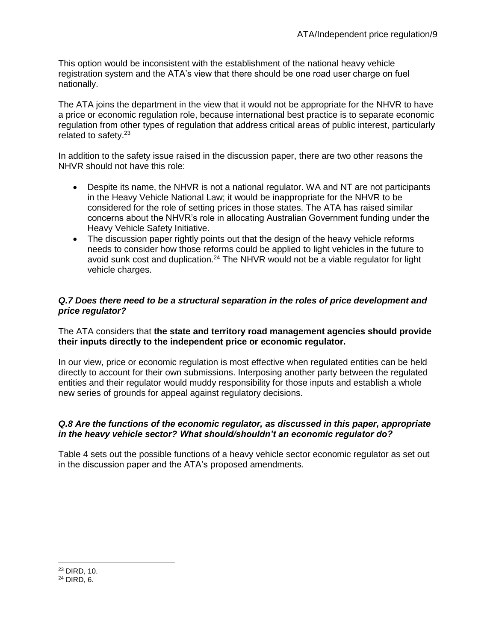This option would be inconsistent with the establishment of the national heavy vehicle registration system and the ATA's view that there should be one road user charge on fuel nationally.

The ATA joins the department in the view that it would not be appropriate for the NHVR to have a price or economic regulation role, because international best practice is to separate economic regulation from other types of regulation that address critical areas of public interest, particularly related to safety.<sup>23</sup>

In addition to the safety issue raised in the discussion paper, there are two other reasons the NHVR should not have this role:

- Despite its name, the NHVR is not a national regulator. WA and NT are not participants in the Heavy Vehicle National Law; it would be inappropriate for the NHVR to be considered for the role of setting prices in those states. The ATA has raised similar concerns about the NHVR's role in allocating Australian Government funding under the Heavy Vehicle Safety Initiative.
- The discussion paper rightly points out that the design of the heavy vehicle reforms needs to consider how those reforms could be applied to light vehicles in the future to avoid sunk cost and duplication.<sup>24</sup> The NHVR would not be a viable regulator for light vehicle charges.

## *Q.7 Does there need to be a structural separation in the roles of price development and price regulator?*

The ATA considers that **the state and territory road management agencies should provide their inputs directly to the independent price or economic regulator.**

In our view, price or economic regulation is most effective when regulated entities can be held directly to account for their own submissions. Interposing another party between the regulated entities and their regulator would muddy responsibility for those inputs and establish a whole new series of grounds for appeal against regulatory decisions.

## *Q.8 Are the functions of the economic regulator, as discussed in this paper, appropriate in the heavy vehicle sector? What should/shouldn't an economic regulator do?*

Table 4 sets out the possible functions of a heavy vehicle sector economic regulator as set out in the discussion paper and the ATA's proposed amendments.

 $\overline{a}$ 

<sup>24</sup> DIRD, 6.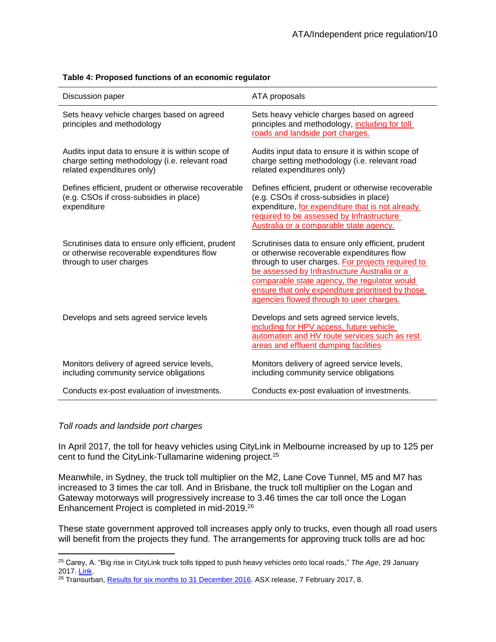| Discussion paper                                                                                                                  | ATA proposals                                                                                                                                                                                                                                                                                                                                          |
|-----------------------------------------------------------------------------------------------------------------------------------|--------------------------------------------------------------------------------------------------------------------------------------------------------------------------------------------------------------------------------------------------------------------------------------------------------------------------------------------------------|
| Sets heavy vehicle charges based on agreed<br>principles and methodology                                                          | Sets heavy vehicle charges based on agreed<br>principles and methodology, including for toll<br>roads and landside port charges.                                                                                                                                                                                                                       |
| Audits input data to ensure it is within scope of<br>charge setting methodology (i.e. relevant road<br>related expenditures only) | Audits input data to ensure it is within scope of<br>charge setting methodology (i.e. relevant road<br>related expenditures only)                                                                                                                                                                                                                      |
| Defines efficient, prudent or otherwise recoverable<br>(e.g. CSOs if cross-subsidies in place)<br>expenditure                     | Defines efficient, prudent or otherwise recoverable<br>(e.g. CSOs if cross-subsidies in place)<br>expenditure, for expenditure that is not already<br>required to be assessed by Infrastructure<br>Australia or a comparable state agency.                                                                                                             |
| Scrutinises data to ensure only efficient, prudent<br>or otherwise recoverable expenditures flow<br>through to user charges       | Scrutinises data to ensure only efficient, prudent<br>or otherwise recoverable expenditures flow<br>through to user charges. For projects required to<br>be assessed by Infrastructure Australia or a<br>comparable state agency, the regulator would<br>ensure that only expenditure prioritised by those<br>agencies flowed through to user charges. |
| Develops and sets agreed service levels                                                                                           | Develops and sets agreed service levels,<br>including for HPV access, future vehicle<br>automation and HV route services such as rest<br>areas and effluent dumping facilities                                                                                                                                                                         |
| Monitors delivery of agreed service levels,<br>including community service obligations                                            | Monitors delivery of agreed service levels,<br>including community service obligations                                                                                                                                                                                                                                                                 |
| Conducts ex-post evaluation of investments.                                                                                       | Conducts ex-post evaluation of investments.                                                                                                                                                                                                                                                                                                            |

#### **Table 4: Proposed functions of an economic regulator**

#### *Toll roads and landside port charges*

 $\overline{a}$ 

In April 2017, the toll for heavy vehicles using CityLink in Melbourne increased by up to 125 per cent to fund the CityLink-Tullamarine widening project. 25

Meanwhile, in Sydney, the truck toll multiplier on the M2, Lane Cove Tunnel, M5 and M7 has increased to 3 times the car toll. And in Brisbane, the truck toll multiplier on the Logan and Gateway motorways will progressively increase to 3.46 times the car toll once the Logan Enhancement Project is completed in mid-2019.<sup>26</sup>

These state government approved toll increases apply only to trucks, even though all road users will benefit from the projects they fund. The arrangements for approving truck tolls are ad hoc

<sup>25</sup> Carey, A. "Big rise in CityLink truck tolls tipped to push heavy vehicles onto local roads," *The Age*, 29 January 2017. [Link.](http://www.theage.com.au/victoria/big-rise-in-citylink-truck-tolls-tipped-to-push-heavy-vehicles-onto-local-roads-20170129-gu0vz3.html)

<sup>&</sup>lt;sup>26</sup> Transurban, [Results for six months to 31 December 2016.](https://www.google.com.au/url?sa=t&rct=j&q=&esrc=s&source=web&cd=5&cad=rja&uact=8&ved=0ahUKEwjHzbOlhIXVAhWCFJQKHWIFBPcQFgg-MAQ&url=http%3A%2F%2Fwww.asx.com.au%2Fasxpdf%2F20170207%2Fpdf%2F43ftmyv5ccc7zz.pdf&usg=AFQjCNHOFjCLwUQDzStttjgdy0dyVRenKA) ASX release, 7 February 2017, 8.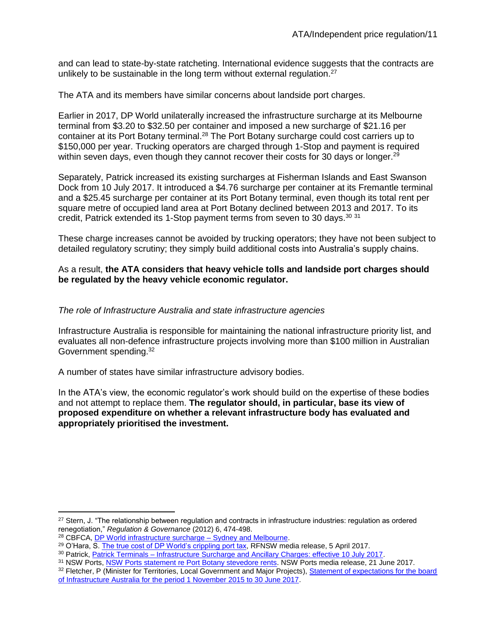and can lead to state-by-state ratcheting. International evidence suggests that the contracts are unlikely to be sustainable in the long term without external regulation.<sup>27</sup>

The ATA and its members have similar concerns about landside port charges.

Earlier in 2017, DP World unilaterally increased the infrastructure surcharge at its Melbourne terminal from \$3.20 to \$32.50 per container and imposed a new surcharge of \$21.16 per container at its Port Botany terminal.<sup>28</sup> The Port Botany surcharge could cost carriers up to \$150,000 per year. Trucking operators are charged through 1-Stop and payment is required within seven days, even though they cannot recover their costs for 30 days or longer.<sup>29</sup>

Separately, Patrick increased its existing surcharges at Fisherman Islands and East Swanson Dock from 10 July 2017. It introduced a \$4.76 surcharge per container at its Fremantle terminal and a \$25.45 surcharge per container at its Port Botany terminal, even though its total rent per square metre of occupied land area at Port Botany declined between 2013 and 2017. To its credit, Patrick extended its 1-Stop payment terms from seven to 30 days.<sup>30 31</sup>

These charge increases cannot be avoided by trucking operators; they have not been subject to detailed regulatory scrutiny; they simply build additional costs into Australia's supply chains.

### As a result, **the ATA considers that heavy vehicle tolls and landside port charges should be regulated by the heavy vehicle economic regulator.**

### *The role of Infrastructure Australia and state infrastructure agencies*

Infrastructure Australia is responsible for maintaining the national infrastructure priority list, and evaluates all non-defence infrastructure projects involving more than \$100 million in Australian Government spending.<sup>32</sup>

A number of states have similar infrastructure advisory bodies.

In the ATA's view, the economic regulator's work should build on the expertise of these bodies and not attempt to replace them. **The regulator should, in particular, base its view of proposed expenditure on whether a relevant infrastructure body has evaluated and appropriately prioritised the investment.**

 $\overline{a}$ 

<sup>&</sup>lt;sup>27</sup> Stern, J. "The relationship between regulation and contracts in infrastructure industries: regulation as ordered renegotiation," *Regulation & Governance* (2012) 6, 474-498.

<sup>&</sup>lt;sup>28</sup> CBFCA, **DP World infrastructure surcharge – Sydney and Melbourne.** 

<sup>&</sup>lt;sup>29</sup> O'Hara, S[. The true cost of DP World's crippling port tax,](http://www.roadfreightnsw.com.au/media-release-true-cost-dp-worlds-crippling-port-tax/) RFNSW media release, 5 April 2017.

<sup>30</sup> Patrick, Patrick Terminals - [Infrastructure Surcharge and Ancillary Charges: effective 10 July 2017.](http://www.qube.com.au/downloads/announcements/Patrick_Terminals_Infrastructure_Surcharge.pdf)

<sup>31</sup> NSW Ports[, NSW Ports statement re Port Botany stevedore rents.](https://www.nswports.com.au/news/article/nsw-ports-statement-re-port-botany-stevedore-rents) NSW Ports media release, 21 June 2017.

<sup>32</sup> Fletcher, P (Minister for Territories, Local Government and Major Projects), Statement of expectations for the board [of Infrastructure Australia for the period 1 November 2015 to 30 June 2017.](http://infrastructureaustralia.gov.au/about/files/IA-Statement-of-Expectations-2015-17.pdf)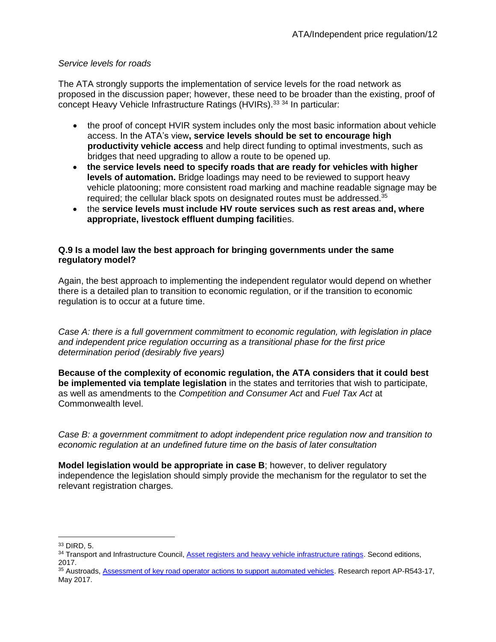## *Service levels for roads*

The ATA strongly supports the implementation of service levels for the road network as proposed in the discussion paper; however, these need to be broader than the existing, proof of concept Heavy Vehicle Infrastructure Ratings (HVIRs).<sup>33 34</sup> In particular:

- the proof of concept HVIR system includes only the most basic information about vehicle access. In the ATA's view**, service levels should be set to encourage high productivity vehicle access** and help direct funding to optimal investments, such as bridges that need upgrading to allow a route to be opened up.
- **the service levels need to specify roads that are ready for vehicles with higher levels of automation.** Bridge loadings may need to be reviewed to support heavy vehicle platooning; more consistent road marking and machine readable signage may be required; the cellular black spots on designated routes must be addressed.<sup>35</sup>
- the **service levels must include HV route services such as rest areas and, where appropriate, livestock effluent dumping faciliti**es.

## **Q.9 Is a model law the best approach for bringing governments under the same regulatory model?**

Again, the best approach to implementing the independent regulator would depend on whether there is a detailed plan to transition to economic regulation, or if the transition to economic regulation is to occur at a future time.

*Case A: there is a full government commitment to economic regulation, with legislation in place and independent price regulation occurring as a transitional phase for the first price determination period (desirably five years)*

**Because of the complexity of economic regulation, the ATA considers that it could best be implemented via template legislation** in the states and territories that wish to participate, as well as amendments to the *Competition and Consumer Act* and *Fuel Tax Act* at Commonwealth level.

*Case B: a government commitment to adopt independent price regulation now and transition to economic regulation at an undefined future time on the basis of later consultation*

**Model legislation would be appropriate in case B**; however, to deliver regulatory independence the legislation should simply provide the mechanism for the regulator to set the relevant registration charges.

 $\overline{a}$ <sup>33</sup> DIRD, 5.

<sup>34</sup> Transport and Infrastructure Council, [Asset registers and heavy vehicle infrastructure ratings.](http://transportinfrastructurecouncil.gov.au/publications/heavy_vehicle_road_reform.aspx) Second editions, 2017.

<sup>35</sup> Austroads, **Assessment of key road operator actions to support automated vehicles**. Research report AP-R543-17, May 2017.